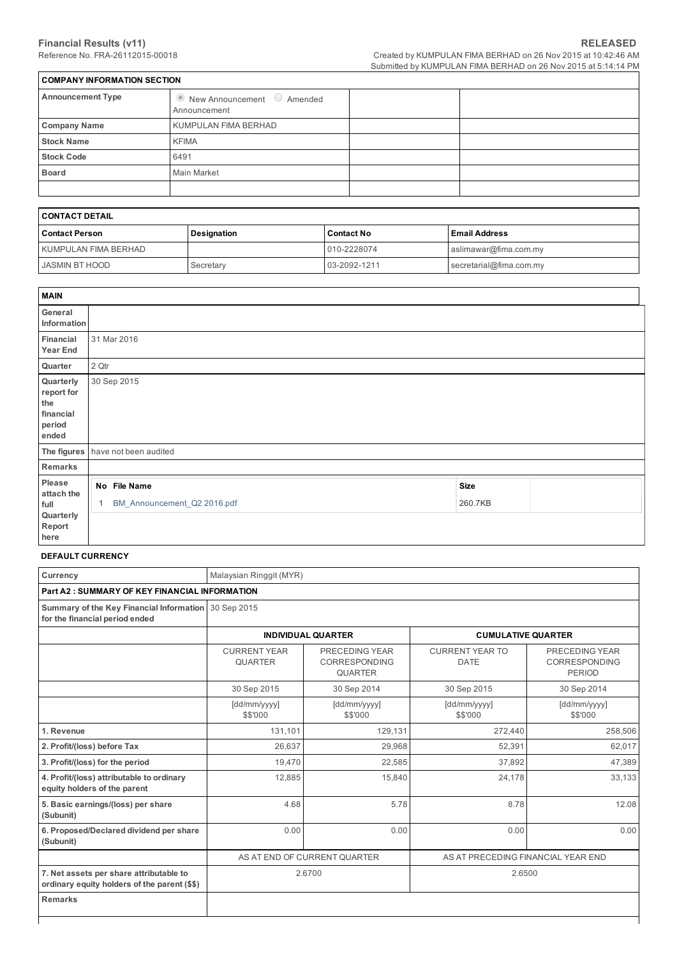| <b>COMPANY INFORMATION SECTION</b> |                                                            |  |  |  |  |  |  |
|------------------------------------|------------------------------------------------------------|--|--|--|--|--|--|
| <b>Announcement Type</b>           | $\bullet$ New Announcement $\circ$ Amended<br>Announcement |  |  |  |  |  |  |
| <b>Company Name</b>                | KUMPULAN FIMA BERHAD                                       |  |  |  |  |  |  |
| <b>Stock Name</b>                  | <b>KFIMA</b>                                               |  |  |  |  |  |  |
| <b>Stock Code</b>                  | 6491                                                       |  |  |  |  |  |  |
| <b>Board</b>                       | Main Market                                                |  |  |  |  |  |  |
|                                    |                                                            |  |  |  |  |  |  |

# CONTACT DETAIL

| I CONTACT DETAIL     |             |                   |                         |  |  |  |
|----------------------|-------------|-------------------|-------------------------|--|--|--|
| Contact Person       | Designation | <b>Contact No</b> | <b>Email Address</b>    |  |  |  |
| KUMPULAN FIMA BERHAD |             | 010-2228074       | aslimawar@fima.com.my   |  |  |  |
| I JASMIN BT HOOD     | Secretary   | 03-2092-1211      | secretarial@fima.com.my |  |  |  |

| <b>MAIN</b>                                                    |       |                             |             |  |
|----------------------------------------------------------------|-------|-----------------------------|-------------|--|
| General<br>Information                                         |       |                             |             |  |
| Financial<br><b>Year End</b>                                   |       | 31 Mar 2016                 |             |  |
| Quarter                                                        | 2 Qtr |                             |             |  |
| Quarterly<br>report for<br>the<br>financial<br>period<br>ended |       | 30 Sep 2015                 |             |  |
| The figures                                                    |       | have not been audited       |             |  |
| Remarks                                                        |       |                             |             |  |
| Please<br>attach the                                           |       | No File Name                | <b>Size</b> |  |
| full<br>Quarterly<br>Report<br>here                            | 1     | BM_Announcement_Q2 2016.pdf | 260.7KB     |  |

## DEFAULT CURRENCY

| Currency                                                                                | Malaysian Ringgit (MYR)                                            |                                                          |                                       |                                                         |  |  |  |  |  |  |
|-----------------------------------------------------------------------------------------|--------------------------------------------------------------------|----------------------------------------------------------|---------------------------------------|---------------------------------------------------------|--|--|--|--|--|--|
| <b>Part A2: SUMMARY OF KEY FINANCIAL INFORMATION</b>                                    |                                                                    |                                                          |                                       |                                                         |  |  |  |  |  |  |
| Summary of the Key Financial Information 30 Sep 2015<br>for the financial period ended  |                                                                    |                                                          |                                       |                                                         |  |  |  |  |  |  |
|                                                                                         |                                                                    | <b>INDIVIDUAL QUARTER</b><br><b>CUMULATIVE QUARTER</b>   |                                       |                                                         |  |  |  |  |  |  |
|                                                                                         | <b>CURRENT YEAR</b><br>QUARTER                                     | PRECEDING YEAR<br><b>CORRESPONDING</b><br><b>QUARTER</b> | <b>CURRENT YEAR TO</b><br><b>DATE</b> | PRECEDING YEAR<br><b>CORRESPONDING</b><br><b>PERIOD</b> |  |  |  |  |  |  |
|                                                                                         | 30 Sep 2015                                                        | 30 Sep 2014                                              | 30 Sep 2015                           | 30 Sep 2014                                             |  |  |  |  |  |  |
|                                                                                         | [dd/mm/yyyy]<br>\$\$'000                                           | [dd/mm/yyyy]<br>\$\$'000                                 | [dd/mm/yyyy]<br>\$\$'000              | [dd/mm/yyyy]<br>\$\$'000                                |  |  |  |  |  |  |
| 1. Revenue                                                                              | 131,101                                                            | 129,131                                                  | 272,440                               | 258,506                                                 |  |  |  |  |  |  |
| 2. Profit/(loss) before Tax                                                             | 26.637                                                             | 29,968                                                   | 52,391                                | 62.017                                                  |  |  |  |  |  |  |
| 3. Profit/(loss) for the period                                                         | 19,470                                                             | 22,585                                                   | 37,892                                | 47,389                                                  |  |  |  |  |  |  |
| 4. Profit/(loss) attributable to ordinary<br>equity holders of the parent               | 12,885                                                             | 15,840                                                   | 24,178                                | 33,133                                                  |  |  |  |  |  |  |
| 5. Basic earnings/(loss) per share<br>(Subunit)                                         | 4.68                                                               | 5.78                                                     | 8.78                                  | 12.08                                                   |  |  |  |  |  |  |
| 6. Proposed/Declared dividend per share<br>(Subunit)                                    | 0.00                                                               | 0.00                                                     | 0.00                                  | 0.00                                                    |  |  |  |  |  |  |
|                                                                                         | AS AT END OF CURRENT QUARTER<br>AS AT PRECEDING FINANCIAL YEAR END |                                                          |                                       |                                                         |  |  |  |  |  |  |
| 7. Net assets per share attributable to<br>ordinary equity holders of the parent (\$\$) | 2.6700                                                             |                                                          | 2.6500                                |                                                         |  |  |  |  |  |  |
| <b>Remarks</b>                                                                          |                                                                    |                                                          |                                       |                                                         |  |  |  |  |  |  |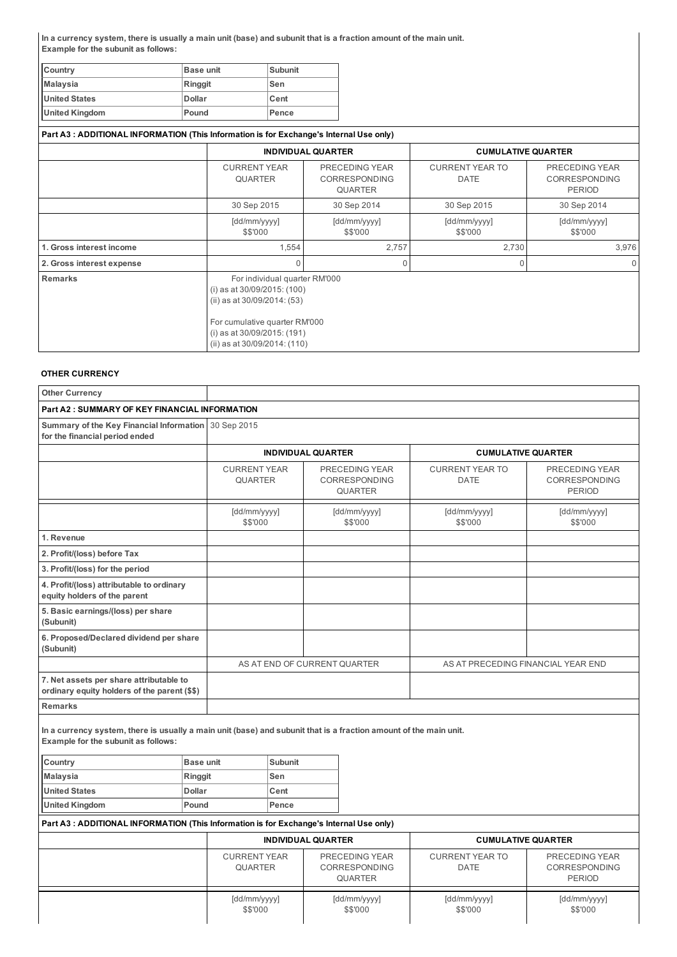In a currency system, there is usually a main unit (base) and subunit that is a fraction amount of the main unit. Example for the subunit as follows:

| Country               | Base unit      | Subunit |
|-----------------------|----------------|---------|
| <b>Malaysia</b>       | <b>Ringgit</b> | ⊦Sen    |
| <b>United States</b>  | <b>Dollar</b>  | Cent    |
| <b>United Kingdom</b> | Pound          | Pence   |

| Part A3: ADDITIONAL INFORMATION (This Information is for Exchange's Internal Use only) |                                                                                                                                                                                                         |                                                          |                                       |                                                         |  |
|----------------------------------------------------------------------------------------|---------------------------------------------------------------------------------------------------------------------------------------------------------------------------------------------------------|----------------------------------------------------------|---------------------------------------|---------------------------------------------------------|--|
|                                                                                        |                                                                                                                                                                                                         | <b>INDIVIDUAL QUARTER</b>                                | <b>CUMULATIVE QUARTER</b>             |                                                         |  |
|                                                                                        | <b>CURRENT YEAR</b><br><b>QUARTER</b>                                                                                                                                                                   | PRECEDING YEAR<br><b>CORRESPONDING</b><br><b>QUARTER</b> | <b>CURRENT YEAR TO</b><br><b>DATE</b> | PRECEDING YEAR<br><b>CORRESPONDING</b><br><b>PERIOD</b> |  |
|                                                                                        | 30 Sep 2015                                                                                                                                                                                             | 30 Sep 2014                                              | 30 Sep 2015                           | 30 Sep 2014                                             |  |
|                                                                                        | [dd/mm/yyyy]<br>\$\$'000                                                                                                                                                                                | [dd/mm/yyyy]<br>\$\$'000                                 | [dd/mm/yyyy]<br>\$\$'000              | [dd/mm/yyyy]<br>\$\$'000                                |  |
| 1. Gross interest income                                                               | 1,554                                                                                                                                                                                                   | 2,757                                                    | 2,730                                 | 3,976                                                   |  |
| 2. Gross interest expense                                                              |                                                                                                                                                                                                         |                                                          | $\mathbf 0$                           | $\Omega$                                                |  |
| <b>Remarks</b>                                                                         | For individual quarter RM'000<br>(i) as at $30/09/2015$ : (100)<br>(ii) as at $30/09/2014$ : (53)<br>For cumulative quarter RM'000<br>(i) as at $30/09/2015$ : (191)<br>(ii) as at $30/09/2014$ : (110) |                                                          |                                       |                                                         |  |

# OTHER CURRENCY

| <b>Other Currency</b>                                                                                                                                    |                                                                                         |                                                  |                           |                                                   |                                             |                                       |                                                  |  |  |
|----------------------------------------------------------------------------------------------------------------------------------------------------------|-----------------------------------------------------------------------------------------|--------------------------------------------------|---------------------------|---------------------------------------------------|---------------------------------------------|---------------------------------------|--------------------------------------------------|--|--|
| Part A2 : SUMMARY OF KEY FINANCIAL INFORMATION                                                                                                           |                                                                                         |                                                  |                           |                                                   |                                             |                                       |                                                  |  |  |
| Summary of the Key Financial Information<br>for the financial period ended                                                                               |                                                                                         | 30 Sep 2015                                      |                           |                                                   |                                             |                                       |                                                  |  |  |
|                                                                                                                                                          |                                                                                         |                                                  | <b>INDIVIDUAL QUARTER</b> |                                                   |                                             | <b>CUMULATIVE QUARTER</b>             |                                                  |  |  |
|                                                                                                                                                          |                                                                                         | <b>CURRENT YEAR</b><br><b>QUARTER</b>            |                           |                                                   | PRECEDING YEAR<br>CORRESPONDING<br>QUARTER  | <b>CURRENT YEAR TO</b><br><b>DATE</b> | PRECEDING YEAR<br>CORRESPONDING<br><b>PERIOD</b> |  |  |
|                                                                                                                                                          |                                                                                         | [dd/mm/yyyy]<br>\$\$'000                         |                           |                                                   | [dd/mm/yyyy]<br>\$\$'000                    | [dd/mm/yyyy]<br>\$\$'000              | [dd/mm/yyyy]<br>\$\$'000                         |  |  |
| 1. Revenue                                                                                                                                               |                                                                                         |                                                  |                           |                                                   |                                             |                                       |                                                  |  |  |
| 2. Profit/(loss) before Tax                                                                                                                              |                                                                                         |                                                  |                           |                                                   |                                             |                                       |                                                  |  |  |
| 3. Profit/(loss) for the period                                                                                                                          |                                                                                         |                                                  |                           |                                                   |                                             |                                       |                                                  |  |  |
| 4. Profit/(loss) attributable to ordinary<br>equity holders of the parent                                                                                |                                                                                         |                                                  |                           |                                                   |                                             |                                       |                                                  |  |  |
| 5. Basic earnings/(loss) per share<br>(Subunit)                                                                                                          |                                                                                         |                                                  |                           |                                                   |                                             |                                       |                                                  |  |  |
| 6. Proposed/Declared dividend per share<br>(Subunit)                                                                                                     |                                                                                         |                                                  |                           |                                                   |                                             |                                       |                                                  |  |  |
|                                                                                                                                                          |                                                                                         | AS AT END OF CURRENT QUARTER                     |                           | AS AT PRECEDING FINANCIAL YEAR END                |                                             |                                       |                                                  |  |  |
| 7. Net assets per share attributable to<br>ordinary equity holders of the parent (\$\$)                                                                  |                                                                                         |                                                  |                           |                                                   |                                             |                                       |                                                  |  |  |
| <b>Remarks</b>                                                                                                                                           |                                                                                         |                                                  |                           |                                                   |                                             |                                       |                                                  |  |  |
| In a currency system, there is usually a main unit (base) and subunit that is a fraction amount of the main unit.<br>Example for the subunit as follows: |                                                                                         |                                                  |                           |                                                   |                                             |                                       |                                                  |  |  |
| Country                                                                                                                                                  | <b>Base unit</b>                                                                        |                                                  | <b>Subunit</b>            |                                                   |                                             |                                       |                                                  |  |  |
| <b>Malaysia</b><br><b>United States</b>                                                                                                                  | Ringgit<br>Dollar                                                                       |                                                  | Sen                       |                                                   |                                             |                                       |                                                  |  |  |
| <b>United Kingdom</b>                                                                                                                                    | Pound                                                                                   |                                                  | Cent<br>Pence             |                                                   |                                             |                                       |                                                  |  |  |
|                                                                                                                                                          | Part A3 : ADDITIONAL INFORMATION (This Information is for Exchange's Internal Use only) |                                                  |                           |                                                   |                                             |                                       |                                                  |  |  |
|                                                                                                                                                          |                                                                                         |                                                  |                           |                                                   |                                             |                                       |                                                  |  |  |
|                                                                                                                                                          |                                                                                         | <b>INDIVIDUAL QUARTER</b><br><b>CURRENT YEAR</b> |                           | <b>CURRENT YEAR TO</b>                            | <b>CUMULATIVE QUARTER</b><br>PRECEDING YEAR |                                       |                                                  |  |  |
|                                                                                                                                                          |                                                                                         | <b>QUARTER</b>                                   |                           | PRECEDING YEAR<br>CORRESPONDING<br><b>QUARTER</b> |                                             | <b>DATE</b>                           | CORRESPONDING<br><b>PERIOD</b>                   |  |  |
|                                                                                                                                                          |                                                                                         | [dd/mm/yyyy]<br>\$\$'000                         |                           |                                                   | [dd/mm/yyyy]<br>\$\$'000                    | [dd/mm/yyyy]<br>\$\$'000              | [dd/mm/yyyy]<br>\$\$'000                         |  |  |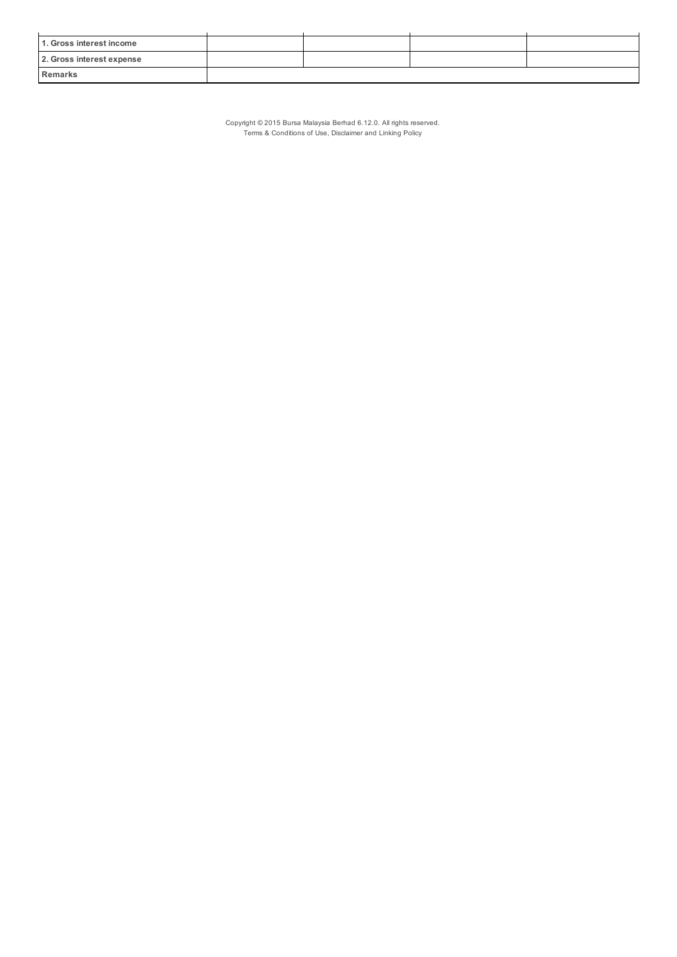| 1. Gross interest income  |  |  |
|---------------------------|--|--|
| 2. Gross interest expense |  |  |
| Remarks                   |  |  |

Copyright © 2015 Bursa Malaysia Berhad 6.12.0. All rights reserved. Terms & Conditions of Use, Disclaimer and Linking Policy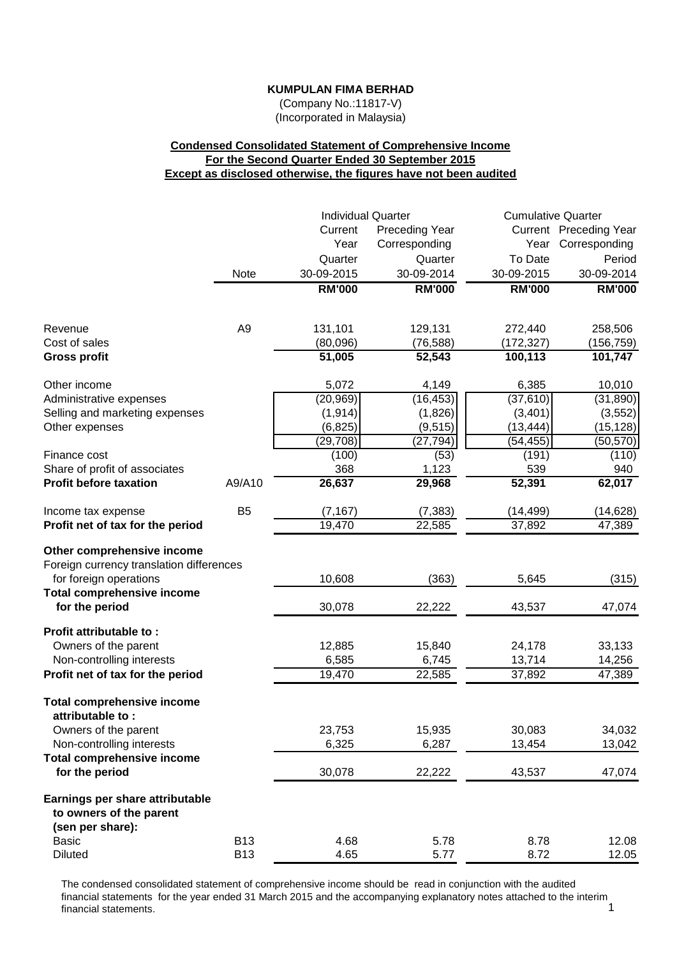(Company No.:11817-V) (Incorporated in Malaysia)

# **Condensed Consolidated Statement of Comprehensive Income For the Second Quarter Ended 30 September 2015 Except as disclosed otherwise, the figures have not been audited**

|                                                                                                                                       |                          | <b>Individual Quarter</b> |                           | <b>Cumulative Quarter</b>  |                            |  |
|---------------------------------------------------------------------------------------------------------------------------------------|--------------------------|---------------------------|---------------------------|----------------------------|----------------------------|--|
|                                                                                                                                       |                          | Current                   | <b>Preceding Year</b>     |                            | Current Preceding Year     |  |
|                                                                                                                                       |                          | Year                      | Corresponding             | Year                       | Corresponding              |  |
|                                                                                                                                       |                          | Quarter                   | Quarter                   | To Date                    | Period                     |  |
|                                                                                                                                       | Note                     | 30-09-2015                | 30-09-2014                | 30-09-2015                 | 30-09-2014                 |  |
|                                                                                                                                       |                          | <b>RM'000</b>             | <b>RM'000</b>             | <b>RM'000</b>              | <b>RM'000</b>              |  |
| Revenue                                                                                                                               | A <sub>9</sub>           | 131,101                   | 129,131                   | 272,440                    | 258,506                    |  |
| Cost of sales                                                                                                                         |                          | (80,096)                  | (76, 588)                 | (172, 327)                 | (156,759)                  |  |
| <b>Gross profit</b>                                                                                                                   |                          | 51,005                    | 52,543                    | 100,113                    | 101,747                    |  |
| Other income                                                                                                                          |                          | 5,072                     | 4,149                     | 6,385                      | 10,010                     |  |
| Administrative expenses                                                                                                               |                          | (20, 969)                 | (16, 453)                 | (37, 610)                  | (31, 890)                  |  |
| Selling and marketing expenses                                                                                                        |                          | (1, 914)                  | (1,826)                   | (3, 401)                   | (3, 552)                   |  |
| Other expenses                                                                                                                        |                          | (6, 825)                  | (9, 515)                  | (13, 444)                  | (15, 128)                  |  |
|                                                                                                                                       |                          | (29, 708)                 | (27, 794)                 | (54, 455)                  | (50, 570)                  |  |
| Finance cost<br>Share of profit of associates                                                                                         |                          | (100)<br>368              | (53)<br>1,123             | (191)<br>539               | (110)<br>940               |  |
| <b>Profit before taxation</b>                                                                                                         | A9/A10                   | 26,637                    | 29,968                    | 52,391                     | 62,017                     |  |
| Income tax expense                                                                                                                    | B <sub>5</sub>           | (7, 167)                  | (7, 383)                  | (14, 499)                  | (14, 628)                  |  |
| Profit net of tax for the period                                                                                                      |                          | 19,470                    | 22,585                    | 37,892                     | 47,389                     |  |
| Other comprehensive income<br>Foreign currency translation differences<br>for foreign operations<br><b>Total comprehensive income</b> |                          | 10,608                    | (363)                     | 5,645                      | (315)                      |  |
| for the period                                                                                                                        |                          | 30,078                    | 22,222                    | 43,537                     | 47,074                     |  |
| Profit attributable to:<br>Owners of the parent<br>Non-controlling interests<br>Profit net of tax for the period                      |                          | 12,885<br>6,585<br>19,470 | 15,840<br>6,745<br>22,585 | 24,178<br>13,714<br>37,892 | 33,133<br>14,256<br>47,389 |  |
|                                                                                                                                       |                          |                           |                           |                            |                            |  |
| <b>Total comprehensive income</b><br>attributable to :<br>Owners of the parent<br>Non-controlling interests                           |                          | 23,753<br>6,325           | 15,935<br>6,287           | 30,083<br>13,454           | 34,032<br>13,042           |  |
| <b>Total comprehensive income</b><br>for the period                                                                                   |                          | 30,078                    | 22,222                    | 43,537                     | 47,074                     |  |
| Earnings per share attributable<br>to owners of the parent<br>(sen per share):                                                        |                          |                           |                           |                            |                            |  |
| <b>Basic</b><br><b>Diluted</b>                                                                                                        | <b>B13</b><br><b>B13</b> | 4.68<br>4.65              | 5.78<br>5.77              | 8.78<br>8.72               | 12.08<br>12.05             |  |

The condensed consolidated statement of comprehensive income should be read in conjunction with the audited financial statements for the year ended 31 March 2015 and the accompanying explanatory notes attached to the interim<br>1 financial statements.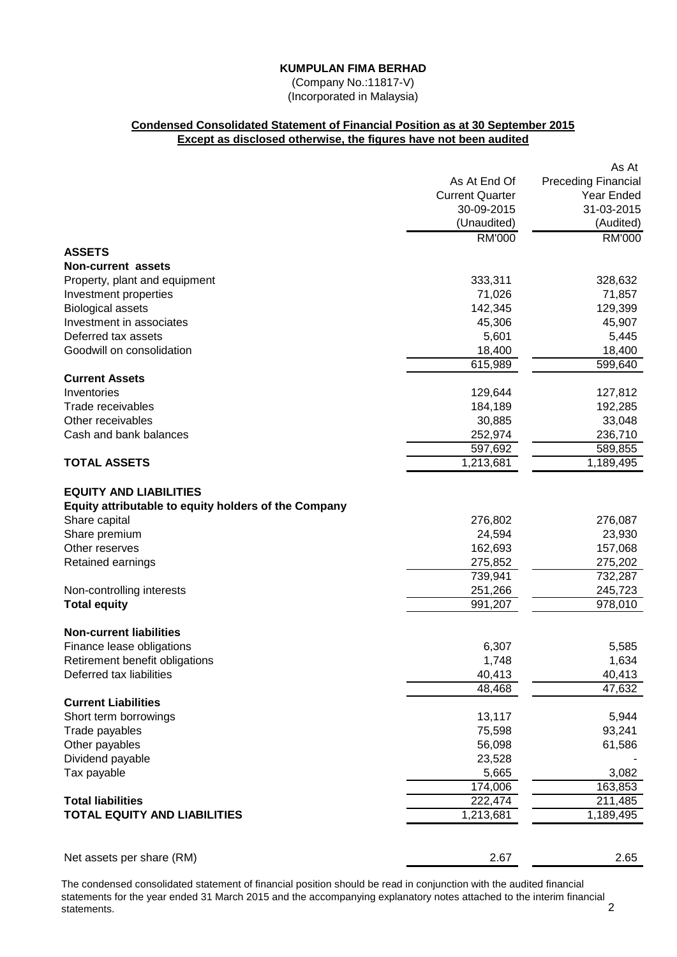(Company No.:11817-V) (Incorporated in Malaysia)

# **Condensed Consolidated Statement of Financial Position as at 30 September 2015 Except as disclosed otherwise, the figures have not been audited**

|                                                      |                        | As At                      |
|------------------------------------------------------|------------------------|----------------------------|
|                                                      | As At End Of           | <b>Preceding Financial</b> |
|                                                      | <b>Current Quarter</b> | Year Ended                 |
|                                                      | 30-09-2015             | 31-03-2015                 |
|                                                      | (Unaudited)            | (Audited)                  |
|                                                      | <b>RM'000</b>          | <b>RM'000</b>              |
| <b>ASSETS</b>                                        |                        |                            |
| <b>Non-current assets</b>                            |                        |                            |
| Property, plant and equipment                        | 333,311                | 328,632                    |
| Investment properties                                | 71,026                 | 71,857                     |
| <b>Biological assets</b>                             | 142,345                | 129,399                    |
| Investment in associates                             | 45,306                 | 45,907                     |
| Deferred tax assets                                  | 5,601                  | 5,445                      |
| Goodwill on consolidation                            | 18,400                 | 18,400                     |
|                                                      | 615,989                | 599,640                    |
| <b>Current Assets</b>                                |                        |                            |
| Inventories                                          | 129,644                | 127,812                    |
| Trade receivables                                    | 184,189                | 192,285                    |
| Other receivables                                    | 30,885                 | 33,048                     |
| Cash and bank balances                               | 252,974                | 236,710                    |
|                                                      | 597,692                | 589,855                    |
| <b>TOTAL ASSETS</b>                                  | 1,213,681              | 1,189,495                  |
| <b>EQUITY AND LIABILITIES</b>                        |                        |                            |
| Equity attributable to equity holders of the Company |                        |                            |
| Share capital                                        | 276,802                | 276,087                    |
| Share premium                                        | 24,594                 | 23,930                     |
| Other reserves                                       | 162,693                | 157,068                    |
| Retained earnings                                    | 275,852                | 275,202                    |
|                                                      | 739,941                | 732,287                    |
| Non-controlling interests                            | 251,266                | 245,723                    |
| <b>Total equity</b>                                  | 991,207                | 978,010                    |
|                                                      |                        |                            |
| <b>Non-current liabilities</b>                       |                        |                            |
| Finance lease obligations                            | 6,307                  | 5,585                      |
| Retirement benefit obligations                       | 1,748                  | 1,634                      |
| Deferred tax liabilities                             | 40,413                 | 40,413                     |
| <b>Current Liabilities</b>                           | 48,468                 | 47,632                     |
|                                                      |                        |                            |
| Short term borrowings                                | 13,117                 | 5,944                      |
| Trade payables<br>Other payables                     | 75,598<br>56,098       | 93,241<br>61,586           |
| Dividend payable                                     | 23,528                 |                            |
| Tax payable                                          | 5,665                  | 3,082                      |
|                                                      | 174,006                | 163,853                    |
| <b>Total liabilities</b>                             | 222,474                | 211,485                    |
| <b>TOTAL EQUITY AND LIABILITIES</b>                  | 1,213,681              | 1,189,495                  |
|                                                      |                        |                            |
|                                                      |                        |                            |
| Net assets per share (RM)                            | 2.67                   | 2.65                       |

The condensed consolidated statement of financial position should be read in conjunction with the audited financial statements for the year ended 31 March 2015 and the accompanying explanatory notes attached to the interim financial statements. 2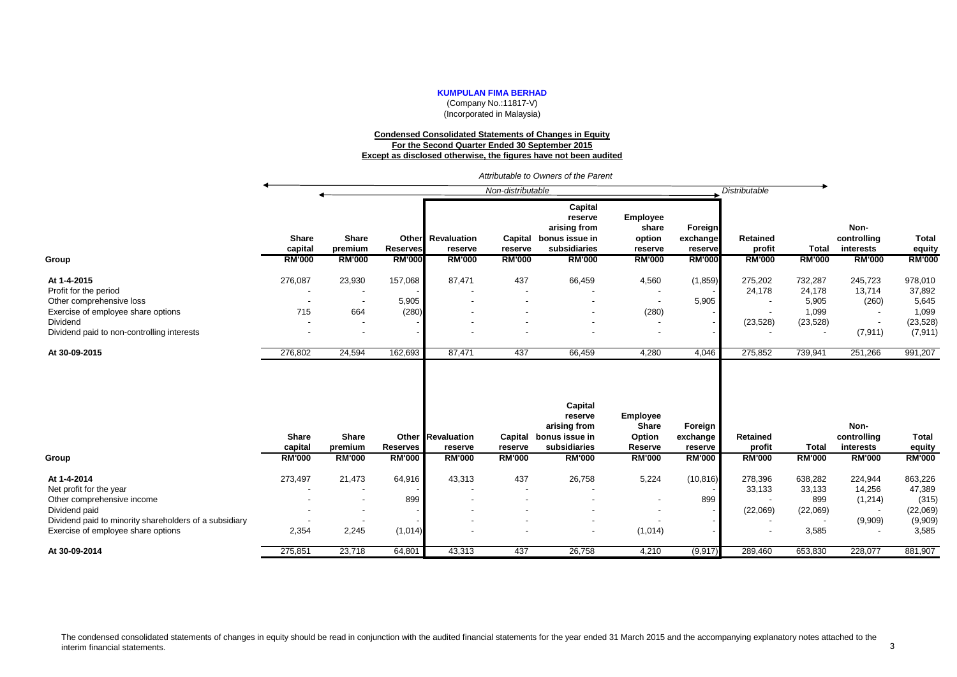(Company No.:11817-V) (Incorporated in Malaysia)

#### **Condensed Consolidated Statements of Changes in Equity For the Second Quarter Ended 30 September 2015 Except as disclosed otherwise, the figures have not been audited**

|                                                        |                                          |                                          |                                  |                                                      | Non-distributable                   |                                                                                       |                                                         |                                                 | <b>Distributable</b>                       |                               |                                                   |                                         |
|--------------------------------------------------------|------------------------------------------|------------------------------------------|----------------------------------|------------------------------------------------------|-------------------------------------|---------------------------------------------------------------------------------------|---------------------------------------------------------|-------------------------------------------------|--------------------------------------------|-------------------------------|---------------------------------------------------|-----------------------------------------|
| Group                                                  | <b>Share</b><br>capital<br><b>RM'000</b> | <b>Share</b><br>premium<br><b>RM'000</b> | <b>Reserves</b><br><b>RM'000</b> | <b>Other</b> Revaluation<br>reserve<br><b>RM'000</b> | Capital<br>reserve<br><b>RM'000</b> | Capital<br>reserve<br>arising from<br>bonus issue in<br>subsidiaries<br><b>RM'000</b> | Employee<br>share<br>option<br>reserve<br><b>RM'000</b> | Foreign<br>exchange<br>reserve<br><b>RM'000</b> | <b>Retained</b><br>profit<br><b>RM'000</b> | <b>Total</b><br><b>RM'000</b> | Non-<br>controlling<br>interests<br><b>RM'000</b> | <b>Total</b><br>equity<br><b>RM'000</b> |
| At 1-4-2015                                            | 276,087                                  | 23,930                                   | 157,068                          | 87,471                                               | 437                                 | 66,459                                                                                | 4,560                                                   | (1,859)                                         | 275,202                                    | 732,287                       | 245,723                                           | 978,010                                 |
| Profit for the period                                  |                                          |                                          |                                  |                                                      |                                     |                                                                                       | $\overline{\phantom{a}}$                                |                                                 | 24,178                                     | 24,178                        | 13,714                                            | 37,892                                  |
| Other comprehensive loss                               |                                          | $\overline{\phantom{a}}$                 | 5,905                            |                                                      |                                     |                                                                                       | $\overline{\phantom{a}}$                                | 5,905                                           |                                            | 5,905                         | (260)                                             | 5,645                                   |
| Exercise of employee share options                     | 715                                      | 664                                      | (280)                            |                                                      |                                     |                                                                                       | (280)                                                   |                                                 |                                            | 1,099                         |                                                   | 1,099                                   |
| Dividend                                               |                                          | $\overline{\phantom{a}}$                 |                                  |                                                      |                                     |                                                                                       | $\overline{\phantom{a}}$                                |                                                 | (23, 528)                                  | (23, 528)                     |                                                   | (23, 528)                               |
| Dividend paid to non-controlling interests             |                                          | $\overline{\phantom{a}}$                 |                                  |                                                      |                                     |                                                                                       | $\overline{\phantom{a}}$                                |                                                 |                                            |                               | (7, 911)                                          | (7, 911)                                |
| At 30-09-2015                                          | 276,802                                  | 24,594                                   | 162,693                          | 87,471                                               | 437                                 | 66,459                                                                                | 4,280                                                   | 4,046                                           | 275,852                                    | 739,941                       | 251,266                                           | 991,207                                 |
|                                                        | Share<br>capital                         | Share<br>premium                         | <b>Reserves</b>                  | <b>Other Revaluation</b><br>reserve                  | reserve                             | Capital<br>reserve<br>arising from<br>Capital bonus issue in<br>subsidiaries          | <b>Employee</b><br><b>Share</b><br>Option<br>Reserve    | Foreign<br>exchange<br>reserve                  | Retained<br>profit                         | <b>Total</b>                  | Non-<br>controlling<br>interests                  | <b>Total</b><br>equity                  |
| Group                                                  | <b>RM'000</b>                            | <b>RM'000</b>                            | <b>RM'000</b>                    | <b>RM'000</b>                                        | <b>RM'000</b>                       | <b>RM'000</b>                                                                         | <b>RM'000</b>                                           | <b>RM'000</b>                                   | <b>RM'000</b>                              | <b>RM'000</b>                 | <b>RM'000</b>                                     | <b>RM'000</b>                           |
| At 1-4-2014                                            | 273,497                                  | 21,473                                   | 64,916                           | 43,313                                               | 437                                 | 26,758                                                                                | 5,224                                                   | (10, 816)                                       | 278,396                                    | 638,282                       | 224,944                                           | 863,226                                 |
| Net profit for the year                                |                                          |                                          |                                  |                                                      |                                     |                                                                                       |                                                         |                                                 | 33,133                                     | 33,133                        | 14,256                                            | 47,389                                  |
| Other comprehensive income                             |                                          | $\overline{\phantom{a}}$                 | 899                              |                                                      |                                     |                                                                                       | $\blacksquare$                                          | 899                                             |                                            | 899                           | (1,214)                                           | (315)                                   |
| Dividend paid                                          |                                          | $\overline{\phantom{a}}$                 |                                  |                                                      |                                     |                                                                                       |                                                         |                                                 | (22,069)                                   | (22,069)                      |                                                   | (22,069)                                |
| Dividend paid to minority shareholders of a subsidiary |                                          |                                          |                                  |                                                      |                                     |                                                                                       |                                                         |                                                 |                                            |                               | (9,909)                                           | (9,909)                                 |
| Exercise of employee share options                     | 2,354                                    | 2,245                                    | (1,014)                          |                                                      |                                     |                                                                                       | (1,014)                                                 |                                                 |                                            | 3,585                         |                                                   | 3,585                                   |
| At 30-09-2014                                          | 275,851                                  | 23,718                                   | 64,801                           | 43,313                                               | 437                                 | 26,758                                                                                | 4,210                                                   | (9, 917)                                        | 289,460                                    | 653,830                       | 228,077                                           | 881,907                                 |

*Attributable to Owners of the Parent*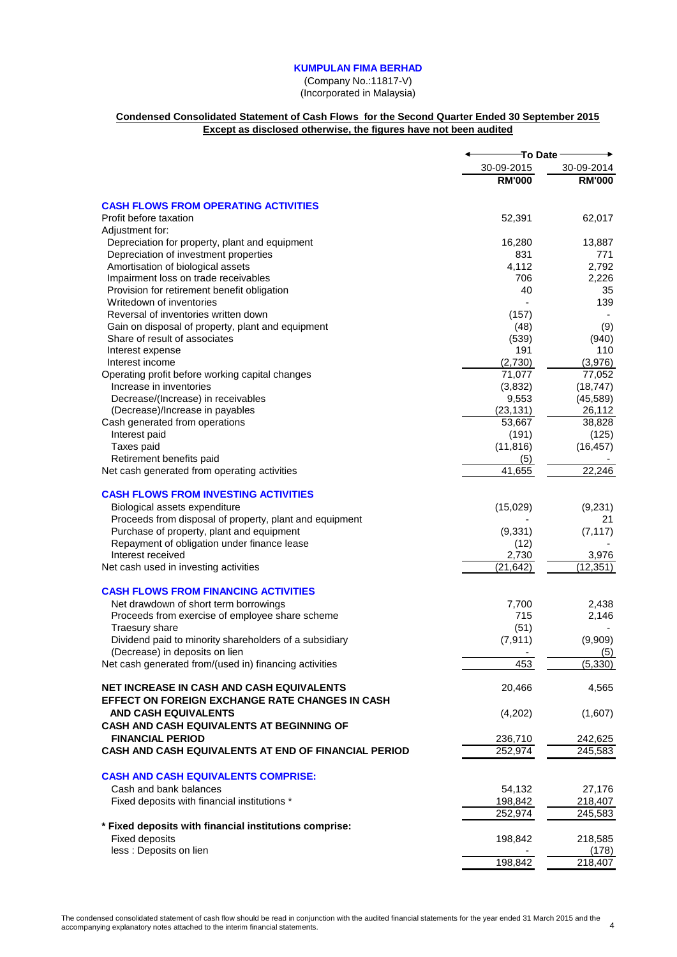(Company No.:11817-V) (Incorporated in Malaysia)

# **Condensed Consolidated Statement of Cash Flows for the Second Quarter Ended 30 September 2015 Except as disclosed otherwise, the figures have not been audited**

|                                                                                                     |                   | To Date            |
|-----------------------------------------------------------------------------------------------------|-------------------|--------------------|
|                                                                                                     | 30-09-2015        | 30-09-2014         |
|                                                                                                     | <b>RM'000</b>     | <b>RM'000</b>      |
| <b>CASH FLOWS FROM OPERATING ACTIVITIES</b>                                                         |                   |                    |
| Profit before taxation<br>Adjustment for:                                                           | 52,391            | 62,017             |
| Depreciation for property, plant and equipment                                                      | 16,280            | 13,887             |
| Depreciation of investment properties                                                               | 831               | 771                |
| Amortisation of biological assets                                                                   | 4,112             | 2,792              |
| Impairment loss on trade receivables                                                                | 706               | 2,226              |
| Provision for retirement benefit obligation                                                         | 40                | 35                 |
| Writedown of inventories                                                                            |                   | 139                |
| Reversal of inventories written down                                                                | (157)             |                    |
| Gain on disposal of property, plant and equipment                                                   | (48)              | (9)                |
| Share of result of associates                                                                       | (539)             | (940)              |
| Interest expense                                                                                    | 191               | 110                |
| Interest income                                                                                     | (2,730)<br>71,077 | (3,976)<br>77,052  |
| Operating profit before working capital changes<br>Increase in inventories                          | (3,832)           | (18, 747)          |
| Decrease/(Increase) in receivables                                                                  | 9,553             | (45, 589)          |
| (Decrease)/Increase in payables                                                                     | (23, 131)         | 26,112             |
| Cash generated from operations                                                                      | 53,667            | 38,828             |
| Interest paid                                                                                       | (191)             | (125)              |
| Taxes paid                                                                                          | (11, 816)         | (16, 457)          |
| Retirement benefits paid                                                                            | (5)               |                    |
| Net cash generated from operating activities                                                        | 41,655            | 22,246             |
| <b>CASH FLOWS FROM INVESTING ACTIVITIES</b>                                                         |                   |                    |
| Biological assets expenditure                                                                       | (15,029)          | (9,231)            |
| Proceeds from disposal of property, plant and equipment                                             |                   | 21                 |
| Purchase of property, plant and equipment                                                           | (9, 331)          | (7, 117)           |
| Repayment of obligation under finance lease                                                         | (12)              |                    |
| Interest received                                                                                   | 2,730             | 3,976              |
| Net cash used in investing activities                                                               | (21, 642)         | (12, 351)          |
| <b>CASH FLOWS FROM FINANCING ACTIVITIES</b>                                                         |                   |                    |
| Net drawdown of short term borrowings                                                               | 7,700             | 2,438              |
| Proceeds from exercise of employee share scheme                                                     | 715               | 2,146              |
| Traesury share                                                                                      | (51)              |                    |
| Dividend paid to minority shareholders of a subsidiary<br>(Decrease) in deposits on lien            | (7, 911)          | (9,909)<br>(5)     |
| Net cash generated from/(used in) financing activities                                              | 453               | (5, 330)           |
| <b>NET INCREASE IN CASH AND CASH EQUIVALENTS</b><br>EFFECT ON FOREIGN EXCHANGE RATE CHANGES IN CASH | 20,466            | 4,565              |
| <b>AND CASH EQUIVALENTS</b><br><b>CASH AND CASH EQUIVALENTS AT BEGINNING OF</b>                     | (4,202)           | (1,607)            |
| <b>FINANCIAL PERIOD</b>                                                                             | 236,710           | 242,625            |
| CASH AND CASH EQUIVALENTS AT END OF FINANCIAL PERIOD                                                | 252,974           | 245,583            |
| <b>CASH AND CASH EQUIVALENTS COMPRISE:</b>                                                          |                   |                    |
| Cash and bank balances                                                                              |                   |                    |
| Fixed deposits with financial institutions *                                                        | 54,132<br>198,842 | 27,176             |
|                                                                                                     | 252,974           | 218,407<br>245,583 |
| * Fixed deposits with financial institutions comprise:                                              |                   |                    |
| <b>Fixed deposits</b>                                                                               | 198,842           | 218,585            |
| less : Deposits on lien                                                                             |                   | (178)              |
|                                                                                                     | 198,842           | 218,407            |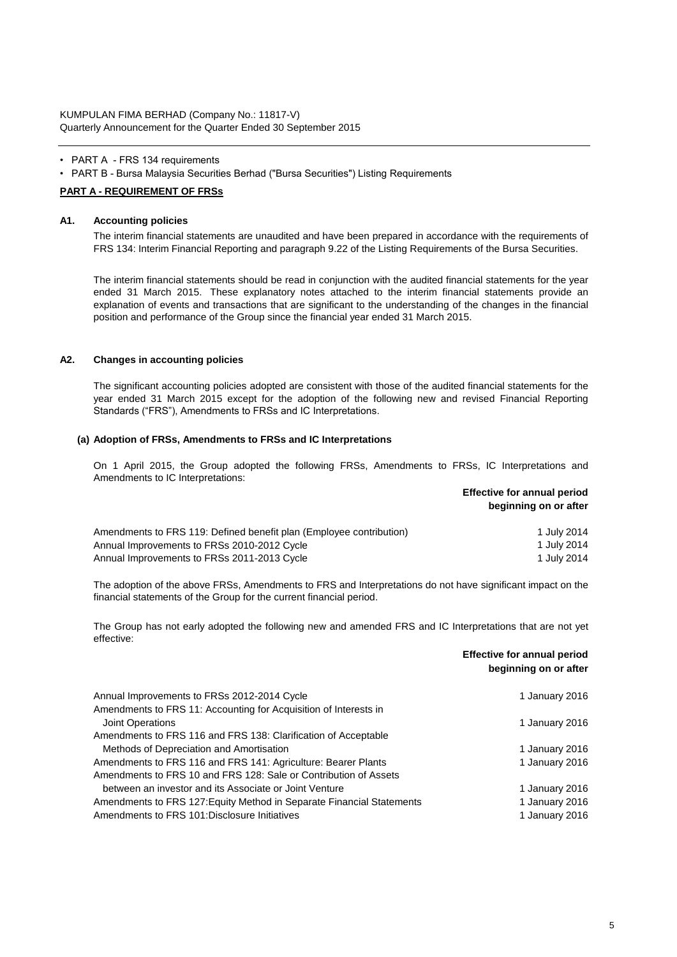KUMPULAN FIMA BERHAD (Company No.: 11817-V) Quarterly Announcement for the Quarter Ended 30 September 2015

- PART A FRS 134 requirements
- PART B Bursa Malaysia Securities Berhad ("Bursa Securities") Listing Requirements

#### **PART A - REQUIREMENT OF FRSs**

#### **A1. Accounting policies**

The interim financial statements are unaudited and have been prepared in accordance with the requirements of FRS 134: Interim Financial Reporting and paragraph 9.22 of the Listing Requirements of the Bursa Securities.

The interim financial statements should be read in conjunction with the audited financial statements for the year ended 31 March 2015. These explanatory notes attached to the interim financial statements provide an explanation of events and transactions that are significant to the understanding of the changes in the financial position and performance of the Group since the financial year ended 31 March 2015.

#### **A2. Changes in accounting policies**

The significant accounting policies adopted are consistent with those of the audited financial statements for the year ended 31 March 2015 except for the adoption of the following new and revised Financial Reporting Standards ("FRS"), Amendments to FRSs and IC Interpretations.

#### **(a) Adoption of FRSs, Amendments to FRSs and IC Interpretations**

On 1 April 2015, the Group adopted the following FRSs, Amendments to FRSs, IC Interpretations and Amendments to IC Interpretations:

> **Effective for annual period beginning on or after**

| Amendments to FRS 119: Defined benefit plan (Employee contribution) | 1 July 2014 |
|---------------------------------------------------------------------|-------------|
| Annual Improvements to FRSs 2010-2012 Cycle                         | 1 July 2014 |
| Annual Improvements to FRSs 2011-2013 Cycle                         | 1 July 2014 |

The adoption of the above FRSs, Amendments to FRS and Interpretations do not have significant impact on the financial statements of the Group for the current financial period.

The Group has not early adopted the following new and amended FRS and IC Interpretations that are not yet effective:

|                                                                       | <b>Effective for annual period</b><br>beginning on or after |
|-----------------------------------------------------------------------|-------------------------------------------------------------|
| Annual Improvements to FRSs 2012-2014 Cycle                           | 1 January 2016                                              |
| Amendments to FRS 11: Accounting for Acquisition of Interests in      |                                                             |
| <b>Joint Operations</b>                                               | 1 January 2016                                              |
| Amendments to FRS 116 and FRS 138: Clarification of Acceptable        |                                                             |
| Methods of Depreciation and Amortisation                              | 1 January 2016                                              |
| Amendments to FRS 116 and FRS 141: Agriculture: Bearer Plants         | 1 January 2016                                              |
| Amendments to FRS 10 and FRS 128: Sale or Contribution of Assets      |                                                             |
| between an investor and its Associate or Joint Venture                | 1 January 2016                                              |
| Amendments to FRS 127: Equity Method in Separate Financial Statements | 1 January 2016                                              |
| Amendments to FRS 101: Disclosure Initiatives                         | 1 January 2016                                              |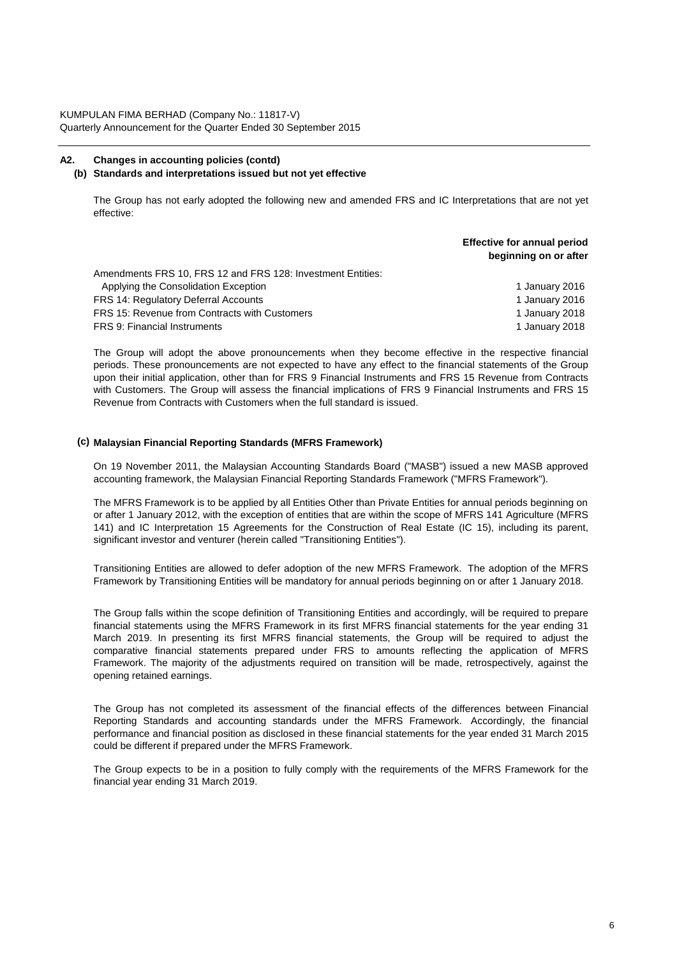# **A2. Changes in accounting policies (contd)**

### **(b) Standards and interpretations issued but not yet effective**

The Group has not early adopted the following new and amended FRS and IC Interpretations that are not yet effective:

**Effective for annual period**

|                                                             | beginning on or after |
|-------------------------------------------------------------|-----------------------|
| Amendments FRS 10, FRS 12 and FRS 128: Investment Entities: |                       |
| Applying the Consolidation Exception                        | 1 January 2016        |
| <b>FRS 14: Regulatory Deferral Accounts</b>                 | 1 January 2016        |
| FRS 15: Revenue from Contracts with Customers               | 1 January 2018        |
| <b>FRS 9: Financial Instruments</b>                         | 1 January 2018        |

The Group will adopt the above pronouncements when they become effective in the respective financial periods. These pronouncements are not expected to have any effect to the financial statements of the Group upon their initial application, other than for FRS 9 Financial Instruments and FRS 15 Revenue from Contracts with Customers. The Group will assess the financial implications of FRS 9 Financial Instruments and FRS 15 Revenue from Contracts with Customers when the full standard is issued.

### **(c) Malaysian Financial Reporting Standards (MFRS Framework)**

On 19 November 2011, the Malaysian Accounting Standards Board ("MASB") issued a new MASB approved accounting framework, the Malaysian Financial Reporting Standards Framework ("MFRS Framework").

The MFRS Framework is to be applied by all Entities Other than Private Entities for annual periods beginning on or after 1 January 2012, with the exception of entities that are within the scope of MFRS 141 Agriculture (MFRS 141) and IC Interpretation 15 Agreements for the Construction of Real Estate (IC 15), including its parent, significant investor and venturer (herein called "Transitioning Entities").

Transitioning Entities are allowed to defer adoption of the new MFRS Framework. The adoption of the MFRS Framework by Transitioning Entities will be mandatory for annual periods beginning on or after 1 January 2018.

The Group falls within the scope definition of Transitioning Entities and accordingly, will be required to prepare financial statements using the MFRS Framework in its first MFRS financial statements for the year ending 31 March 2019. In presenting its first MFRS financial statements, the Group will be required to adjust the comparative financial statements prepared under FRS to amounts reflecting the application of MFRS Framework. The majority of the adjustments required on transition will be made, retrospectively, against the opening retained earnings.

The Group has not completed its assessment of the financial effects of the differences between Financial Reporting Standards and accounting standards under the MFRS Framework. Accordingly, the financial performance and financial position as disclosed in these financial statements for the year ended 31 March 2015 could be different if prepared under the MFRS Framework.

The Group expects to be in a position to fully comply with the requirements of the MFRS Framework for the financial year ending 31 March 2019.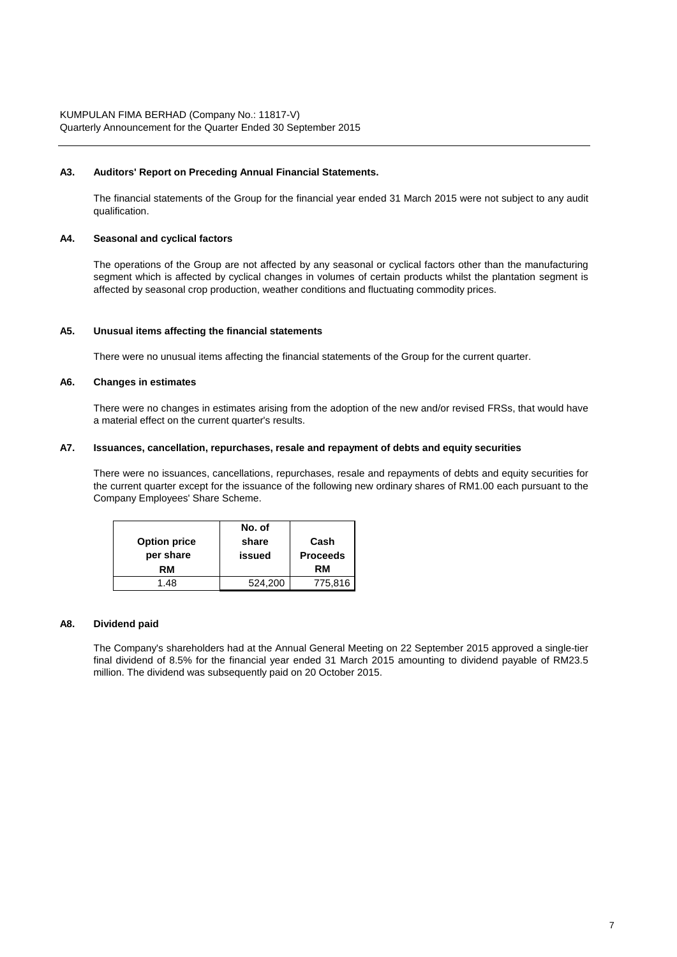#### **A3. Auditors' Report on Preceding Annual Financial Statements.**

The financial statements of the Group for the financial year ended 31 March 2015 were not subject to any audit qualification.

#### **A4. Seasonal and cyclical factors**

The operations of the Group are not affected by any seasonal or cyclical factors other than the manufacturing segment which is affected by cyclical changes in volumes of certain products whilst the plantation segment is affected by seasonal crop production, weather conditions and fluctuating commodity prices.

#### **A5. Unusual items affecting the financial statements**

There were no unusual items affecting the financial statements of the Group for the current quarter.

#### **A6. Changes in estimates**

There were no changes in estimates arising from the adoption of the new and/or revised FRSs, that would have a material effect on the current quarter's results.

#### **A7. Issuances, cancellation, repurchases, resale and repayment of debts and equity securities**

There were no issuances, cancellations, repurchases, resale and repayments of debts and equity securities for the current quarter except for the issuance of the following new ordinary shares of RM1.00 each pursuant to the Company Employees' Share Scheme.

|                     | No. of  |                 |
|---------------------|---------|-----------------|
| <b>Option price</b> | share   | Cash            |
| per share           | issued  | <b>Proceeds</b> |
| RM                  |         | RM              |
| 1.48                | 524.200 | 775,816         |

#### **A8. Dividend paid**

The Company's shareholders had at the Annual General Meeting on 22 September 2015 approved a single-tier final dividend of 8.5% for the financial year ended 31 March 2015 amounting to dividend payable of RM23.5 million. The dividend was subsequently paid on 20 October 2015.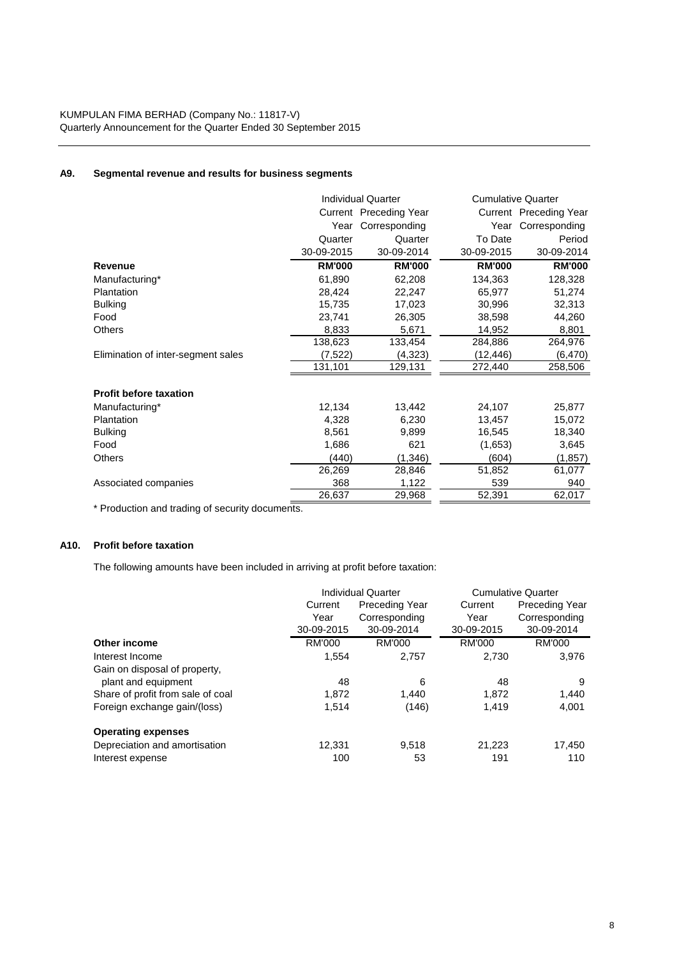# **A9. Segmental revenue and results for business segments**

|                                    | <b>Individual Quarter</b> |                        | <b>Cumulative Quarter</b> |                        |
|------------------------------------|---------------------------|------------------------|---------------------------|------------------------|
|                                    |                           | Current Preceding Year |                           | Current Preceding Year |
|                                    |                           | Year Corresponding     |                           | Year Corresponding     |
|                                    | Quarter                   | Quarter                | To Date                   | Period                 |
|                                    | 30-09-2015                | 30-09-2014             | 30-09-2015                | 30-09-2014             |
| Revenue                            | <b>RM'000</b>             | <b>RM'000</b>          | <b>RM'000</b>             | <b>RM'000</b>          |
| Manufacturing*                     | 61.890                    | 62,208                 | 134,363                   | 128,328                |
| Plantation                         | 28,424                    | 22,247                 | 65,977                    | 51,274                 |
| <b>Bulking</b>                     | 15,735                    | 17,023                 | 30,996                    | 32,313                 |
| Food                               | 23,741                    | 26,305                 | 38,598                    | 44,260                 |
| <b>Others</b>                      | 8,833                     | 5,671                  | 14,952                    | 8,801                  |
|                                    | 138,623                   | 133,454                | 284,886                   | 264,976                |
| Elimination of inter-segment sales | (7,522)                   | (4,323)                | (12, 446)                 | (6, 470)               |
|                                    | 131,101                   | 129,131                | 272,440                   | 258,506                |
| <b>Profit before taxation</b>      |                           |                        |                           |                        |
| Manufacturing*                     | 12,134                    | 13,442                 | 24,107                    | 25,877                 |
| Plantation                         | 4,328                     | 6,230                  | 13,457                    | 15,072                 |
| <b>Bulking</b>                     | 8,561                     | 9,899                  | 16,545                    | 18,340                 |
| Food                               | 1,686                     | 621                    | (1,653)                   | 3,645                  |
| <b>Others</b>                      | (440)                     | (1,346)                | (604)                     | (1, 857)               |
|                                    | 26,269                    | 28,846                 | 51,852                    | 61,077                 |
| Associated companies               | 368                       | 1,122                  | 539                       | 940                    |
|                                    | 26,637                    | 29,968                 | 52,391                    | 62,017                 |

\* Production and trading of security documents.

# **A10. Profit before taxation**

The following amounts have been included in arriving at profit before taxation:

|                                   |               | <b>Individual Quarter</b> |            | <b>Cumulative Quarter</b> |
|-----------------------------------|---------------|---------------------------|------------|---------------------------|
|                                   | Current       | Preceding Year            | Current    | Preceding Year            |
|                                   | Year          | Corresponding             | Year       | Corresponding             |
|                                   | 30-09-2015    | 30-09-2014                | 30-09-2015 | 30-09-2014                |
| Other income                      | <b>RM'000</b> | RM'000                    | RM'000     | <b>RM'000</b>             |
| Interest Income                   | 1.554         | 2,757                     | 2.730      | 3,976                     |
| Gain on disposal of property,     |               |                           |            |                           |
| plant and equipment               | 48            | 6                         | 48         | 9                         |
| Share of profit from sale of coal | 1.872         | 1.440                     | 1.872      | 1,440                     |
| Foreign exchange gain/(loss)      | 1.514         | (146)                     | 1.419      | 4,001                     |
| <b>Operating expenses</b>         |               |                           |            |                           |
| Depreciation and amortisation     | 12.331        | 9.518                     | 21,223     | 17,450                    |
| Interest expense                  | 100           | 53                        | 191        | 110                       |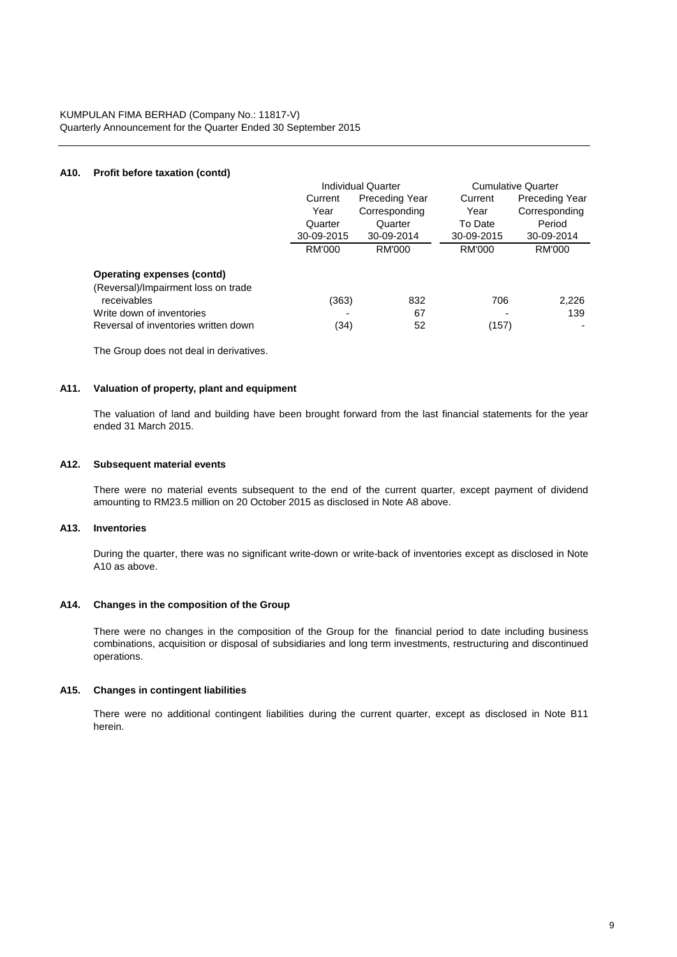## **A10. Profit before taxation (contd)**

|                                      | <b>Individual Quarter</b> |                       |            | <b>Cumulative Quarter</b> |
|--------------------------------------|---------------------------|-----------------------|------------|---------------------------|
|                                      | Current                   | <b>Preceding Year</b> | Current    | Preceding Year            |
|                                      | Year                      | Corresponding         | Year       | Corresponding             |
|                                      | Quarter                   | Quarter               | To Date    | Period                    |
|                                      | 30-09-2015                | 30-09-2014            | 30-09-2015 | 30-09-2014                |
|                                      | <b>RM'000</b>             | RM'000                | RM'000     | RM'000                    |
| <b>Operating expenses (contd)</b>    |                           |                       |            |                           |
| (Reversal)/Impairment loss on trade  |                           |                       |            |                           |
| receivables                          | (363)                     | 832                   | 706        | 2,226                     |
| Write down of inventories            |                           | 67                    |            | 139                       |
| Reversal of inventories written down | (34)                      | 52                    | (157)      |                           |

The Group does not deal in derivatives.

#### **A11. Valuation of property, plant and equipment**

The valuation of land and building have been brought forward from the last financial statements for the year ended 31 March 2015.

#### **A12. Subsequent material events**

There were no material events subsequent to the end of the current quarter, except payment of dividend amounting to RM23.5 million on 20 October 2015 as disclosed in Note A8 above.

### **A13. Inventories**

During the quarter, there was no significant write-down or write-back of inventories except as disclosed in Note A10 as above.

#### **A14. Changes in the composition of the Group**

There were no changes in the composition of the Group for the financial period to date including business combinations, acquisition or disposal of subsidiaries and long term investments, restructuring and discontinued operations.

## **A15. Changes in contingent liabilities**

There were no additional contingent liabilities during the current quarter, except as disclosed in Note B11 herein.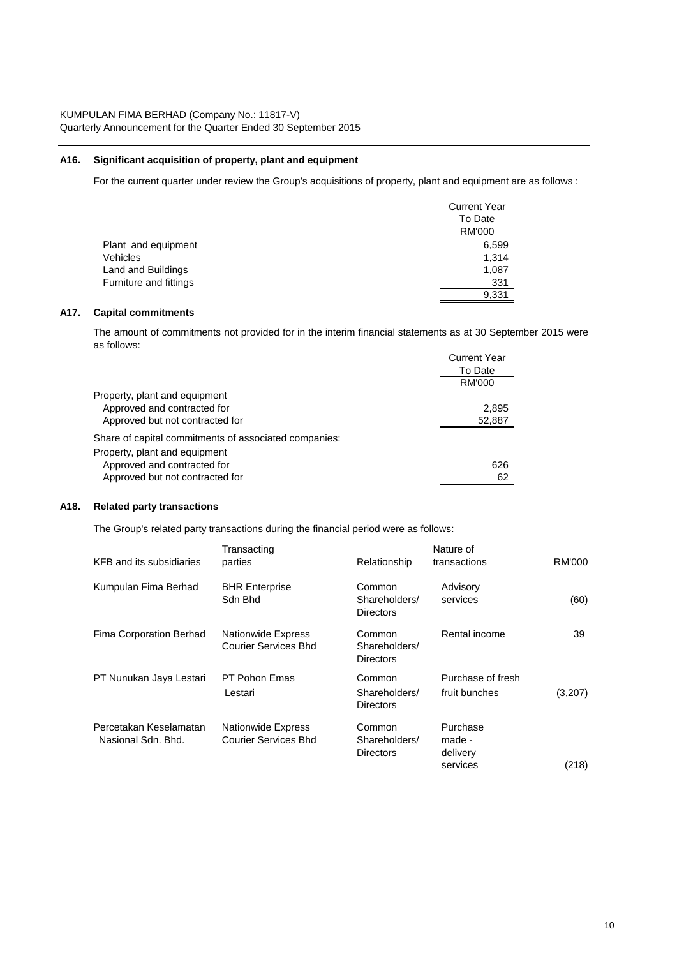## **A16. Significant acquisition of property, plant and equipment**

For the current quarter under review the Group's acquisitions of property, plant and equipment are as follows :

|                        | <b>Current Year</b> |
|------------------------|---------------------|
|                        | To Date             |
|                        | <b>RM'000</b>       |
| Plant and equipment    | 6,599               |
| <b>Vehicles</b>        | 1,314               |
| Land and Buildings     | 1,087               |
| Furniture and fittings | 331                 |
|                        | 9,331               |

# **A17. Capital commitments**

The amount of commitments not provided for in the interim financial statements as at 30 September 2015 were as follows:

|                                                       | <b>Current Year</b><br>To Date<br>RM'000 |
|-------------------------------------------------------|------------------------------------------|
| Property, plant and equipment                         |                                          |
| Approved and contracted for                           | 2.895                                    |
| Approved but not contracted for                       | 52,887                                   |
| Share of capital commitments of associated companies: |                                          |
| Property, plant and equipment                         |                                          |
| Approved and contracted for                           | 626                                      |
| Approved but not contracted for                       | 62                                       |

# **A18. Related party transactions**

The Group's related party transactions during the financial period were as follows:

|                                              | Transacting                                              |                                             | Nature of                                  |         |
|----------------------------------------------|----------------------------------------------------------|---------------------------------------------|--------------------------------------------|---------|
| KFB and its subsidiaries                     | parties                                                  | Relationship                                | transactions                               | RM'000  |
| Kumpulan Fima Berhad                         | <b>BHR Enterprise</b><br>Sdn Bhd                         | Common<br>Shareholders/<br><b>Directors</b> | Advisory<br>services                       | (60)    |
| Fima Corporation Berhad                      | <b>Nationwide Express</b><br><b>Courier Services Bhd</b> | Common<br>Shareholders/<br><b>Directors</b> | Rental income                              | 39      |
| PT Nunukan Jaya Lestari                      | PT Pohon Emas<br>Lestari                                 | Common<br>Shareholders/<br><b>Directors</b> | Purchase of fresh<br>fruit bunches         | (3,207) |
| Percetakan Keselamatan<br>Nasional Sdn. Bhd. | Nationwide Express<br>Courier Services Bhd               | Common<br>Shareholders/<br><b>Directors</b> | Purchase<br>made -<br>delivery<br>services | (218)   |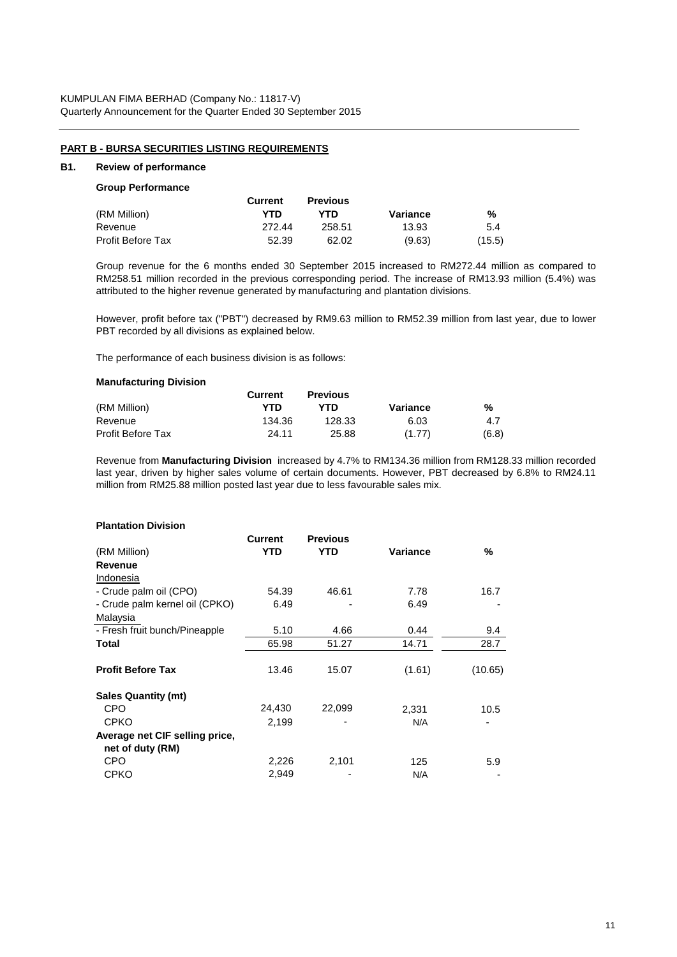### **PART B - BURSA SECURITIES LISTING REQUIREMENTS**

# **B1. Review of performance**

# **Group Performance**

|                   | Current | <b>Previous</b> |          |        |
|-------------------|---------|-----------------|----------|--------|
| (RM Million)      | YTD     | YTD             | Variance | %      |
| Revenue           | 272.44  | 258.51          | 13.93    | 5.4    |
| Profit Before Tax | 52.39   | 62.02           | (9.63)   | (15.5) |

Group revenue for the 6 months ended 30 September 2015 increased to RM272.44 million as compared to RM258.51 million recorded in the previous corresponding period. The increase of RM13.93 million (5.4%) was attributed to the higher revenue generated by manufacturing and plantation divisions.

However, profit before tax ("PBT") decreased by RM9.63 million to RM52.39 million from last year, due to lower PBT recorded by all divisions as explained below.

The performance of each business division is as follows:

#### **Manufacturing Division**

|                          | Current | <b>Previous</b> |          |       |
|--------------------------|---------|-----------------|----------|-------|
| (RM Million)             | YTD     | YTD             | Variance | %     |
| Revenue                  | 134.36  | 128.33          | 6.03     | 4.7   |
| <b>Profit Before Tax</b> | 24.11   | 25.88           | (1.77)   | (6.8) |

Revenue from **Manufacturing Division** increased by 4.7% to RM134.36 million from RM128.33 million recorded last year, driven by higher sales volume of certain documents. However, PBT decreased by 6.8% to RM24.11 million from RM25.88 million posted last year due to less favourable sales mix.

# **Plantation Division**

|                                | Current | <b>Previous</b> |          |         |
|--------------------------------|---------|-----------------|----------|---------|
| (RM Million)                   | YTD     | YTD             | Variance | %       |
| Revenue                        |         |                 |          |         |
| Indonesia                      |         |                 |          |         |
| - Crude palm oil (CPO)         | 54.39   | 46.61           | 7.78     | 16.7    |
| - Crude palm kernel oil (CPKO) | 6.49    |                 | 6.49     |         |
| Malaysia                       |         |                 |          |         |
| - Fresh fruit bunch/Pineapple  | 5.10    | 4.66            | 0.44     | 9.4     |
| Total                          | 65.98   | 51.27           | 14.71    | 28.7    |
|                                |         |                 |          |         |
| <b>Profit Before Tax</b>       | 13.46   | 15.07           | (1.61)   | (10.65) |
| <b>Sales Quantity (mt)</b>     |         |                 |          |         |
| <b>CPO</b>                     | 24,430  | 22,099          | 2,331    | 10.5    |
| <b>CPKO</b>                    | 2,199   |                 | N/A      |         |
| Average net CIF selling price, |         |                 |          |         |
| net of duty (RM)               |         |                 |          |         |
| CPO                            | 2,226   | 2,101           | 125      | 5.9     |
| <b>CPKO</b>                    | 2,949   |                 | N/A      |         |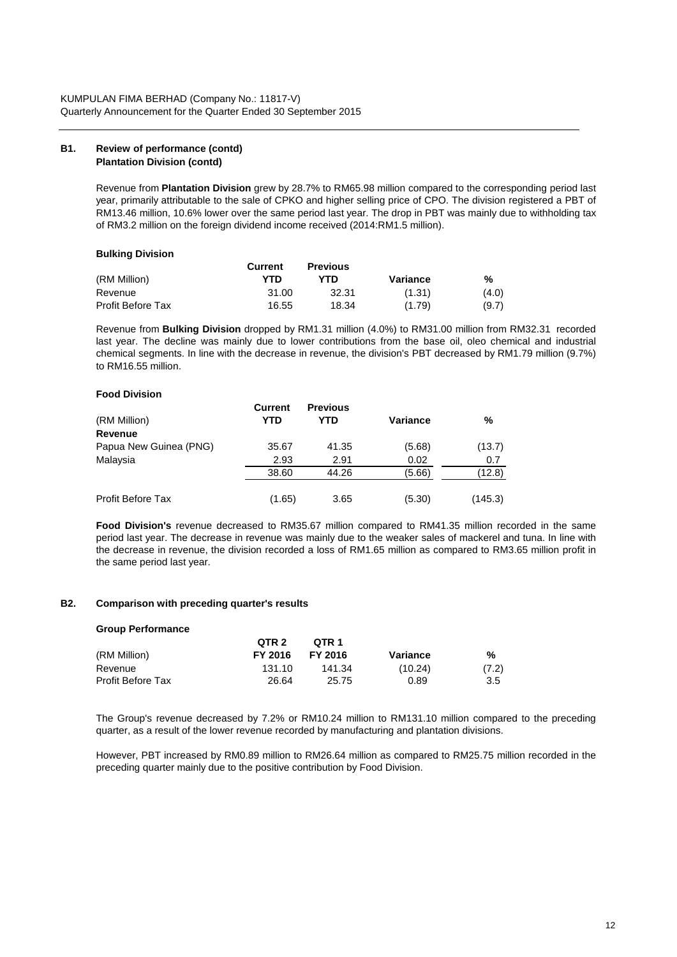#### **B1. Review of performance (contd) Plantation Division (contd)**

Revenue from **Plantation Division** grew by 28.7% to RM65.98 million compared to the corresponding period last year, primarily attributable to the sale of CPKO and higher selling price of CPO. The division registered a PBT of RM13.46 million, 10.6% lower over the same period last year. The drop in PBT was mainly due to withholding tax of RM3.2 million on the foreign dividend income received (2014:RM1.5 million).

### **Bulking Division**

|                          | Current | <b>Previous</b> |          |       |
|--------------------------|---------|-----------------|----------|-------|
| (RM Million)             | YTD     | YTD             | Variance | %     |
| Revenue                  | 31.00   | 32.31           | (1.31)   | (4.0) |
| <b>Profit Before Tax</b> | 16.55   | 18.34           | (1.79)   | (9.7) |

Revenue from **Bulking Division** dropped by RM1.31 million (4.0%) to RM31.00 million from RM32.31 recorded last year. The decline was mainly due to lower contributions from the base oil, oleo chemical and industrial chemical segments. In line with the decrease in revenue, the division's PBT decreased by RM1.79 million (9.7%) to RM16.55 million.

### **Food Division**

| (RM Million)           | Current<br>YTD | <b>Previous</b><br>YTD | <b>Variance</b> | %       |
|------------------------|----------------|------------------------|-----------------|---------|
| Revenue                |                |                        |                 |         |
| Papua New Guinea (PNG) | 35.67          | 41.35                  | (5.68)          | (13.7)  |
| Malaysia               | 2.93           | 2.91                   | 0.02            | 0.7     |
|                        | 38.60          | 44.26                  | (5.66)          | (12.8)  |
| Profit Before Tax      | (1.65)         | 3.65                   | (5.30)          | (145.3) |

**Food Division's** revenue decreased to RM35.67 million compared to RM41.35 million recorded in the same period last year. The decrease in revenue was mainly due to the weaker sales of mackerel and tuna. In line with the decrease in revenue, the division recorded a loss of RM1.65 million as compared to RM3.65 million profit in the same period last year.

# **B2. Comparison with preceding quarter's results**

#### **Group Performance**

|                          | QTR 2   | OTR 1   |          |       |
|--------------------------|---------|---------|----------|-------|
| (RM Million)             | FY 2016 | FY 2016 | Variance | %     |
| Revenue                  | 131.10  | 141.34  | (10.24)  | (7.2) |
| <b>Profit Before Tax</b> | 26.64   | 25.75   | 0.89     | 3.5   |

The Group's revenue decreased by 7.2% or RM10.24 million to RM131.10 million compared to the preceding quarter, as a result of the lower revenue recorded by manufacturing and plantation divisions.

However, PBT increased by RM0.89 million to RM26.64 million as compared to RM25.75 million recorded in the preceding quarter mainly due to the positive contribution by Food Division.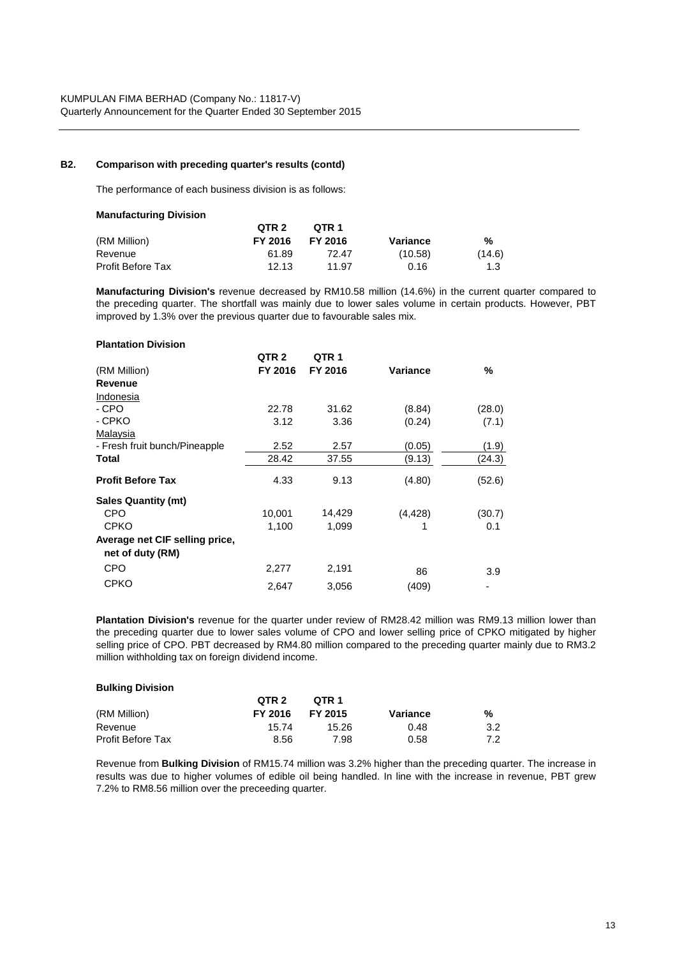## **B2. Comparison with preceding quarter's results (contd)**

The performance of each business division is as follows:

| <b>Manufacturing Division</b> |         |         |          |        |
|-------------------------------|---------|---------|----------|--------|
|                               | QTR 2   | OTR 1   |          |        |
| (RM Million)                  | FY 2016 | FY 2016 | Variance | ℅      |
| Revenue                       | 61.89   | 72.47   | (10.58)  | (14.6) |
| <b>Profit Before Tax</b>      | 12.13   | 11.97   | 0.16     | 1.3    |

**Manufacturing Division's** revenue decreased by RM10.58 million (14.6%) in the current quarter compared to the preceding quarter. The shortfall was mainly due to lower sales volume in certain products. However, PBT improved by 1.3% over the previous quarter due to favourable sales mix.

| <b>Plantation Division</b>     |                  |                  |          |        |
|--------------------------------|------------------|------------------|----------|--------|
|                                | QTR <sub>2</sub> | QTR <sub>1</sub> |          |        |
| (RM Million)                   | FY 2016          | FY 2016          | Variance | %      |
| Revenue                        |                  |                  |          |        |
| Indonesia                      |                  |                  |          |        |
| - CPO                          | 22.78            | 31.62            | (8.84)   | (28.0) |
| - CPKO                         | 3.12             | 3.36             | (0.24)   | (7.1)  |
| Malaysia                       |                  |                  |          |        |
| - Fresh fruit bunch/Pineapple  | 2.52             | 2.57             | (0.05)   | (1.9)  |
| Total                          | 28.42            | 37.55            | (9.13)   | (24.3) |
| <b>Profit Before Tax</b>       | 4.33             | 9.13             | (4.80)   | (52.6) |
| <b>Sales Quantity (mt)</b>     |                  |                  |          |        |
| <b>CPO</b>                     | 10,001           | 14,429           | (4, 428) | (30.7) |
| <b>CPKO</b>                    | 1,100            | 1,099            | 1        | 0.1    |
| Average net CIF selling price, |                  |                  |          |        |
| net of duty (RM)               |                  |                  |          |        |
| <b>CPO</b>                     | 2,277            | 2,191            | 86       | 3.9    |
| <b>CPKO</b>                    | 2,647            | 3,056            | (409)    |        |

**Plantation Division's** revenue for the quarter under review of RM28.42 million was RM9.13 million lower than the preceding quarter due to lower sales volume of CPO and lower selling price of CPKO mitigated by higher selling price of CPO. PBT decreased by RM4.80 million compared to the preceding quarter mainly due to RM3.2 million withholding tax on foreign dividend income.

| <b>Bulking Division</b>  |         |         |          |     |
|--------------------------|---------|---------|----------|-----|
|                          | QTR 2   | OTR 1   |          |     |
| (RM Million)             | FY 2016 | FY 2015 | Variance | %   |
| Revenue                  | 15.74   | 15.26   | 0.48     | 3.2 |
| <b>Profit Before Tax</b> | 8.56    | 7.98    | 0.58     | 7.2 |

Revenue from **Bulking Division** of RM15.74 million was 3.2% higher than the preceding quarter. The increase in results was due to higher volumes of edible oil being handled. In line with the increase in revenue, PBT grew 7.2% to RM8.56 million over the preceeding quarter.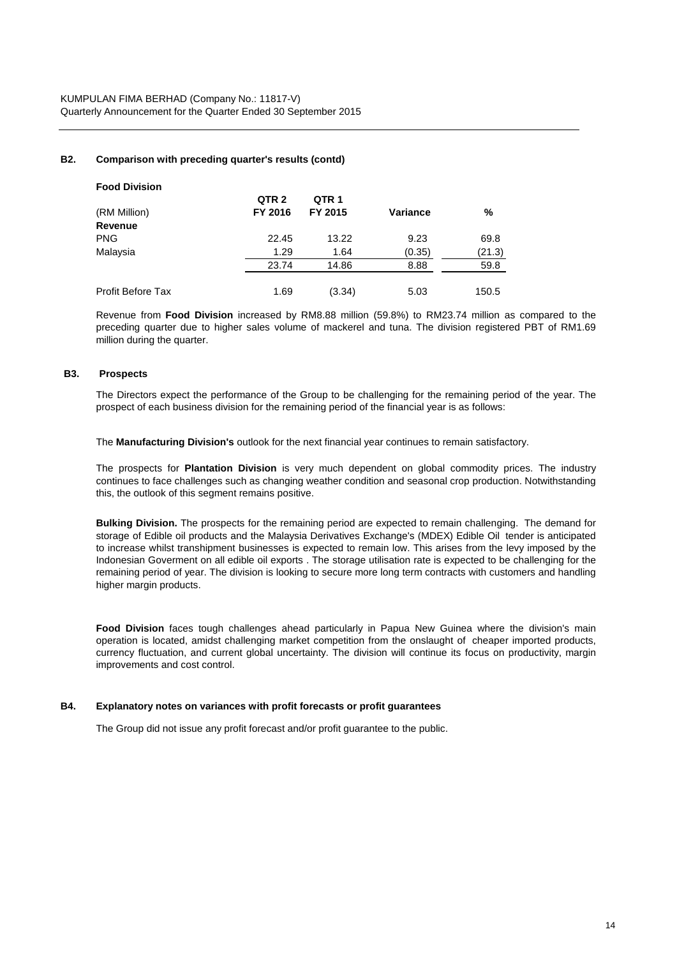# **B2. Comparison with preceding quarter's results (contd)**

| <b>Food Division</b>     |                  |                  |                 |        |
|--------------------------|------------------|------------------|-----------------|--------|
|                          | QTR <sub>2</sub> | QTR <sub>1</sub> |                 |        |
| (RM Million)             | FY 2016          | FY 2015          | <b>Variance</b> | %      |
| Revenue                  |                  |                  |                 |        |
| <b>PNG</b>               | 22.45            | 13.22            | 9.23            | 69.8   |
| Malaysia                 | 1.29             | 1.64             | (0.35)          | (21.3) |
|                          | 23.74            | 14.86            | 8.88            | 59.8   |
| <b>Profit Before Tax</b> | 1.69             | (3.34)           | 5.03            | 150.5  |

Revenue from **Food Division** increased by RM8.88 million (59.8%) to RM23.74 million as compared to the preceding quarter due to higher sales volume of mackerel and tuna. The division registered PBT of RM1.69 million during the quarter.

### **B3. Prospects**

The Directors expect the performance of the Group to be challenging for the remaining period of the year. The prospect of each business division for the remaining period of the financial year is as follows:

The **Manufacturing Division's** outlook for the next financial year continues to remain satisfactory.

The prospects for **Plantation Division** is very much dependent on global commodity prices. The industry continues to face challenges such as changing weather condition and seasonal crop production. Notwithstanding this, the outlook of this segment remains positive.

**Bulking Division.** The prospects for the remaining period are expected to remain challenging. The demand for storage of Edible oil products and the Malaysia Derivatives Exchange's (MDEX) Edible Oil tender is anticipated to increase whilst transhipment businesses is expected to remain low. This arises from the levy imposed by the Indonesian Goverment on all edible oil exports . The storage utilisation rate is expected to be challenging for the remaining period of year. The division is looking to secure more long term contracts with customers and handling higher margin products.

**Food Division** faces tough challenges ahead particularly in Papua New Guinea where the division's main operation is located, amidst challenging market competition from the onslaught of cheaper imported products, currency fluctuation, and current global uncertainty. The division will continue its focus on productivity, margin improvements and cost control.

#### **B4. Explanatory notes on variances with profit forecasts or profit guarantees**

The Group did not issue any profit forecast and/or profit guarantee to the public.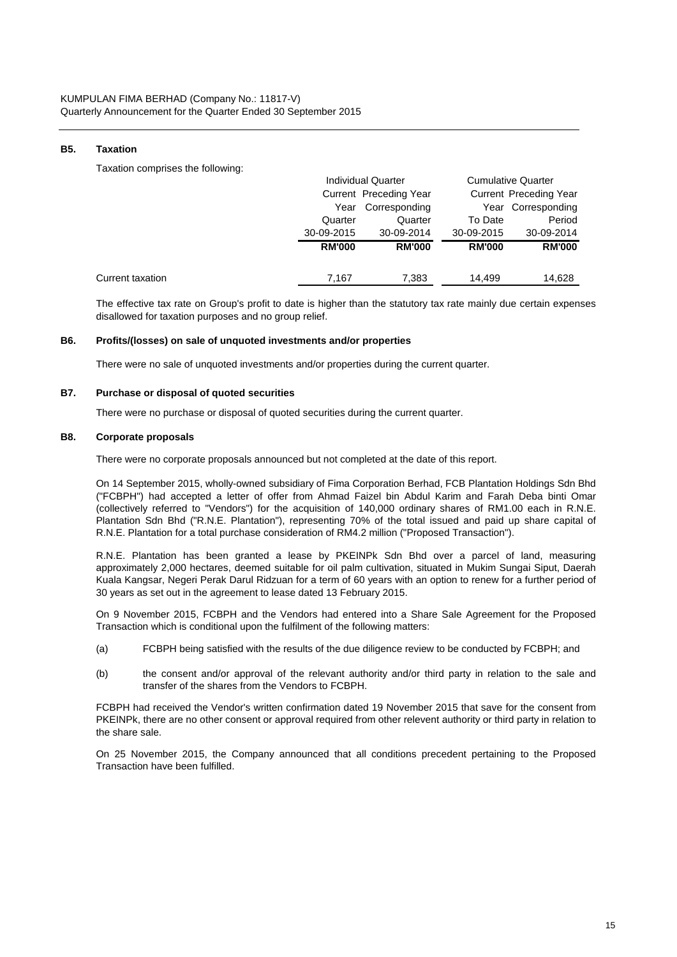## **B5. Taxation**

Taxation comprises the following:

|                  |               | <b>Individual Quarter</b> |               | <b>Cumulative Quarter</b> |
|------------------|---------------|---------------------------|---------------|---------------------------|
|                  |               | Current Preceding Year    |               | Current Preceding Year    |
|                  | Year          | Corresponding             |               | Year Corresponding        |
|                  | Quarter       | Quarter                   | To Date       | Period                    |
|                  | 30-09-2015    | 30-09-2014                | 30-09-2015    | 30-09-2014                |
|                  | <b>RM'000</b> | <b>RM'000</b>             | <b>RM'000</b> | <b>RM'000</b>             |
| Current taxation | 7.167         | 7,383                     | 14.499        | 14,628                    |

The effective tax rate on Group's profit to date is higher than the statutory tax rate mainly due certain expenses disallowed for taxation purposes and no group relief.

#### **B6. Profits/(losses) on sale of unquoted investments and/or properties**

There were no sale of unquoted investments and/or properties during the current quarter.

#### **B7. Purchase or disposal of quoted securities**

There were no purchase or disposal of quoted securities during the current quarter.

#### **B8. Corporate proposals**

There were no corporate proposals announced but not completed at the date of this report.

On 14 September 2015, wholly-owned subsidiary of Fima Corporation Berhad, FCB Plantation Holdings Sdn Bhd ("FCBPH") had accepted a letter of offer from Ahmad Faizel bin Abdul Karim and Farah Deba binti Omar (collectively referred to "Vendors") for the acquisition of 140,000 ordinary shares of RM1.00 each in R.N.E. Plantation Sdn Bhd ("R.N.E. Plantation"), representing 70% of the total issued and paid up share capital of R.N.E. Plantation for a total purchase consideration of RM4.2 million ("Proposed Transaction").

R.N.E. Plantation has been granted a lease by PKEINPk Sdn Bhd over a parcel of land, measuring approximately 2,000 hectares, deemed suitable for oil palm cultivation, situated in Mukim Sungai Siput, Daerah Kuala Kangsar, Negeri Perak Darul Ridzuan for a term of 60 years with an option to renew for a further period of 30 years as set out in the agreement to lease dated 13 February 2015.

On 9 November 2015, FCBPH and the Vendors had entered into a Share Sale Agreement for the Proposed Transaction which is conditional upon the fulfilment of the following matters:

- (a) FCBPH being satisfied with the results of the due diligence review to be conducted by FCBPH; and
- (b) the consent and/or approval of the relevant authority and/or third party in relation to the sale and transfer of the shares from the Vendors to FCBPH.

FCBPH had received the Vendor's written confirmation dated 19 November 2015 that save for the consent from PKEINPk, there are no other consent or approval required from other relevent authority or third party in relation to the share sale.

On 25 November 2015, the Company announced that all conditions precedent pertaining to the Proposed Transaction have been fulfilled.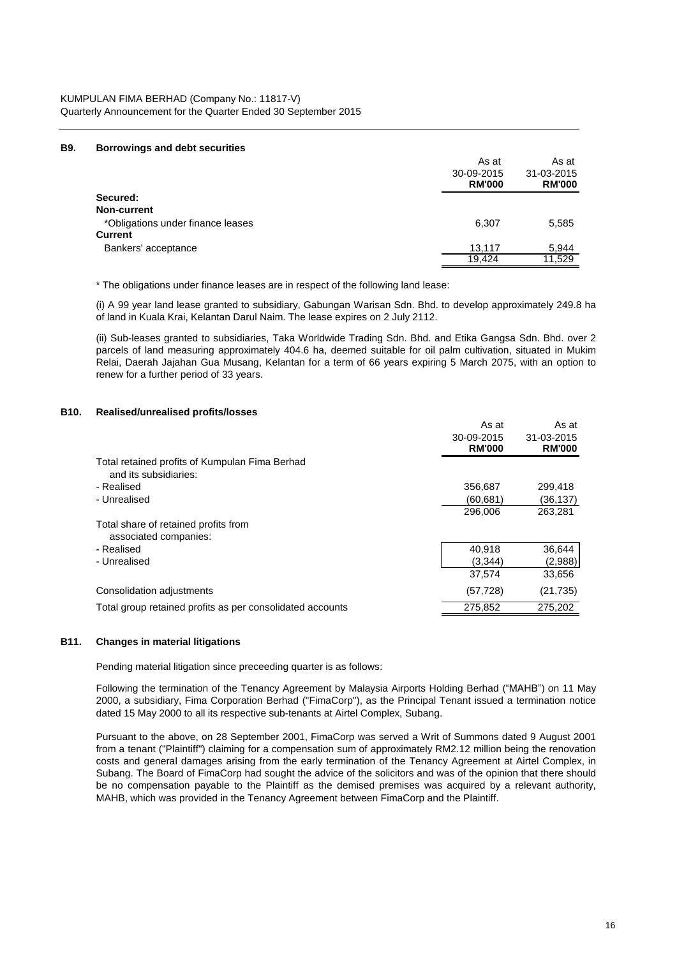KUMPULAN FIMA BERHAD (Company No.: 11817-V) Quarterly Announcement for the Quarter Ended 30 September 2015

#### **B9. Borrowings and debt securities**

|                                   | As at                       | As at                       |
|-----------------------------------|-----------------------------|-----------------------------|
|                                   | 30-09-2015<br><b>RM'000</b> | 31-03-2015<br><b>RM'000</b> |
| Secured:                          |                             |                             |
| <b>Non-current</b>                |                             |                             |
| *Obligations under finance leases | 6,307                       | 5,585                       |
| <b>Current</b>                    |                             |                             |
| Bankers' acceptance               | 13,117                      | 5,944                       |
|                                   | 19.424                      | 11.529                      |

\* The obligations under finance leases are in respect of the following land lease:

(i) A 99 year land lease granted to subsidiary, Gabungan Warisan Sdn. Bhd. to develop approximately 249.8 ha of land in Kuala Krai, Kelantan Darul Naim. The lease expires on 2 July 2112.

(ii) Sub-leases granted to subsidiaries, Taka Worldwide Trading Sdn. Bhd. and Etika Gangsa Sdn. Bhd. over 2 parcels of land measuring approximately 404.6 ha, deemed suitable for oil palm cultivation, situated in Mukim Relai, Daerah Jajahan Gua Musang, Kelantan for a term of 66 years expiring 5 March 2075, with an option to renew for a further period of 33 years.

#### **B10. Realised/unrealised profits/losses**

|                                                                         | As at                       | As at                       |
|-------------------------------------------------------------------------|-----------------------------|-----------------------------|
|                                                                         | 30-09-2015<br><b>RM'000</b> | 31-03-2015<br><b>RM'000</b> |
| Total retained profits of Kumpulan Fima Berhad<br>and its subsidiaries: |                             |                             |
| - Realised                                                              | 356,687                     | 299.418                     |
| - Unrealised                                                            | (60,681)                    | (36,137)                    |
|                                                                         | 296,006                     | 263,281                     |
| Total share of retained profits from<br>associated companies:           |                             |                             |
| - Realised                                                              | 40,918                      | 36,644                      |
| - Unrealised                                                            | (3.344)                     | (2,988)                     |
|                                                                         | 37,574                      | 33,656                      |
| Consolidation adjustments                                               | (57, 728)                   | (21, 735)                   |
| Total group retained profits as per consolidated accounts               | 275,852                     | 275,202                     |

## **B11. Changes in material litigations**

Pending material litigation since preceeding quarter is as follows:

Following the termination of the Tenancy Agreement by Malaysia Airports Holding Berhad ("MAHB") on 11 May 2000, a subsidiary, Fima Corporation Berhad ("FimaCorp"), as the Principal Tenant issued a termination notice dated 15 May 2000 to all its respective sub-tenants at Airtel Complex, Subang.

Pursuant to the above, on 28 September 2001, FimaCorp was served a Writ of Summons dated 9 August 2001 from a tenant ("Plaintiff") claiming for a compensation sum of approximately RM2.12 million being the renovation costs and general damages arising from the early termination of the Tenancy Agreement at Airtel Complex, in Subang. The Board of FimaCorp had sought the advice of the solicitors and was of the opinion that there should be no compensation payable to the Plaintiff as the demised premises was acquired by a relevant authority, MAHB, which was provided in the Tenancy Agreement between FimaCorp and the Plaintiff.